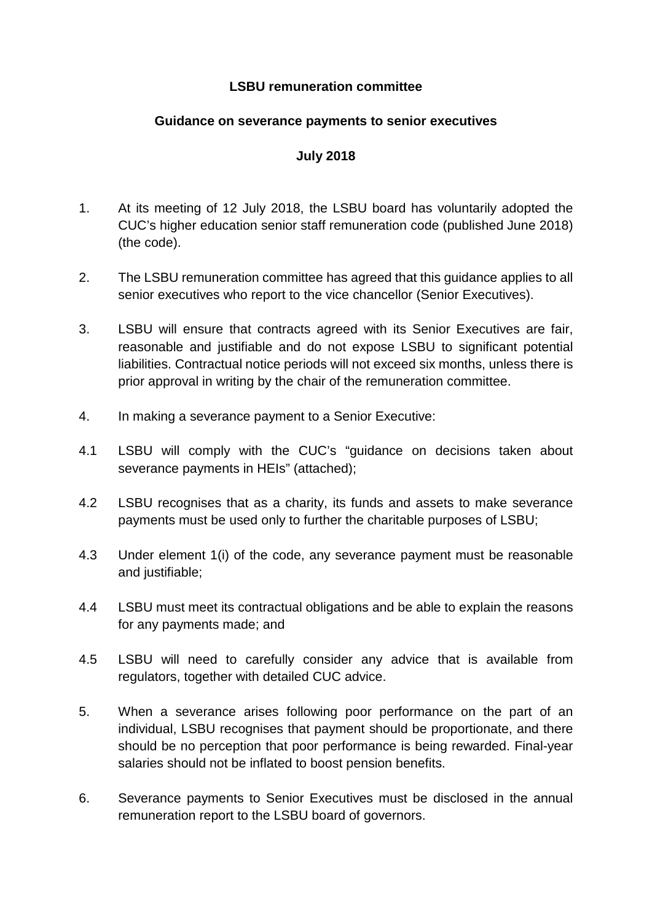## **LSBU remuneration committee**

## **Guidance on severance payments to senior executives**

## **July 2018**

- 1. At its meeting of 12 July 2018, the LSBU board has voluntarily adopted the CUC's higher education senior staff remuneration code (published June 2018) (the code).
- 2. The LSBU remuneration committee has agreed that this guidance applies to all senior executives who report to the vice chancellor (Senior Executives).
- 3. LSBU will ensure that contracts agreed with its Senior Executives are fair, reasonable and justifiable and do not expose LSBU to significant potential liabilities. Contractual notice periods will not exceed six months, unless there is prior approval in writing by the chair of the remuneration committee.
- 4. In making a severance payment to a Senior Executive:
- 4.1 LSBU will comply with the CUC's "guidance on decisions taken about severance payments in HEIs" (attached);
- 4.2 LSBU recognises that as a charity, its funds and assets to make severance payments must be used only to further the charitable purposes of LSBU;
- 4.3 Under element 1(i) of the code, any severance payment must be reasonable and justifiable;
- 4.4 LSBU must meet its contractual obligations and be able to explain the reasons for any payments made; and
- 4.5 LSBU will need to carefully consider any advice that is available from regulators, together with detailed CUC advice.
- 5. When a severance arises following poor performance on the part of an individual, LSBU recognises that payment should be proportionate, and there should be no perception that poor performance is being rewarded. Final-year salaries should not be inflated to boost pension benefits.
- 6. Severance payments to Senior Executives must be disclosed in the annual remuneration report to the LSBU board of governors.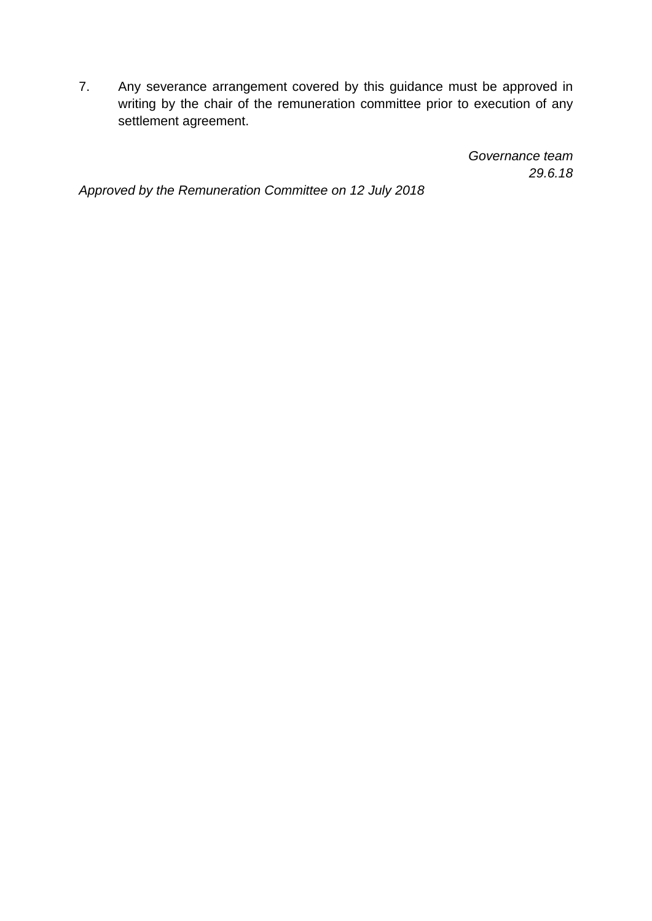7. Any severance arrangement covered by this guidance must be approved in writing by the chair of the remuneration committee prior to execution of any settlement agreement.

> *Governance team 29.6.18*

*Approved by the Remuneration Committee on 12 July 2018*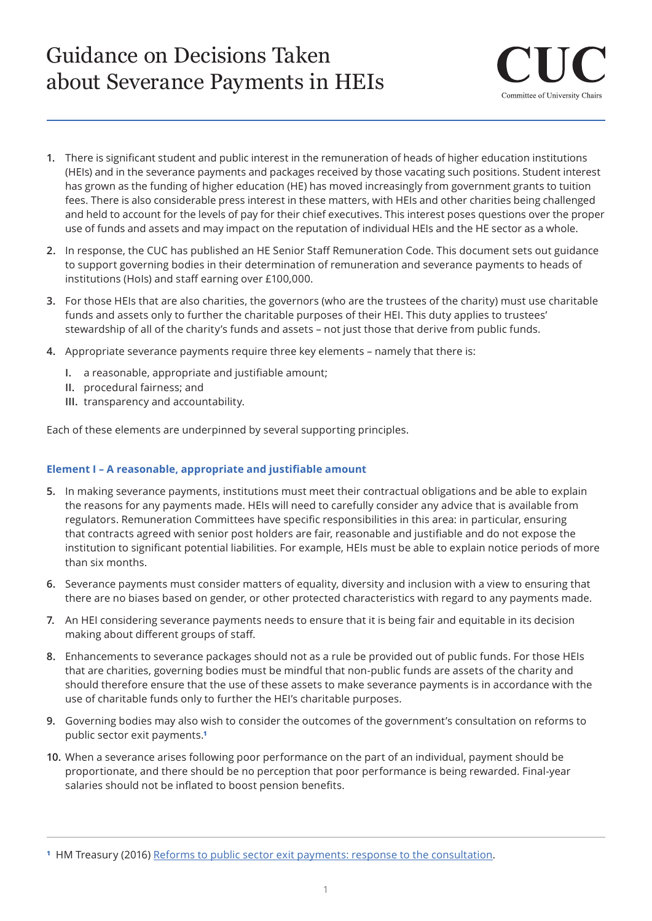# Guidance on Decisions Taken about Severance Payments in HEIs



- **1.** There is significant student and public interest in the remuneration of heads of higher education institutions (HEIs) and in the severance payments and packages received by those vacating such positions. Student interest has grown as the funding of higher education (HE) has moved increasingly from government grants to tuition fees. There is also considerable press interest in these matters, with HEIs and other charities being challenged and held to account for the levels of pay for their chief executives. This interest poses questions over the proper use of funds and assets and may impact on the reputation of individual HEIs and the HE sector as a whole.
- **2.** In response, the CUC has published an HE Senior Staff Remuneration Code. This document sets out guidance to support governing bodies in their determination of remuneration and severance payments to heads of institutions (HoIs) and staff earning over £100,000.
- **3.** For those HEIs that are also charities, the governors (who are the trustees of the charity) must use charitable funds and assets only to further the charitable purposes of their HEI. This duty applies to trustees' stewardship of all of the charity's funds and assets – not just those that derive from public funds.
- **4.** Appropriate severance payments require three key elements namely that there is:
	- **I.** a reasonable, appropriate and justifiable amount;
	- **II.** procedural fairness; and
	- **III.** transparency and accountability.

Each of these elements are underpinned by several supporting principles.

### **Element I – A reasonable, appropriate and justifiable amount**

- **5.** In making severance payments, institutions must meet their contractual obligations and be able to explain the reasons for any payments made. HEIs will need to carefully consider any advice that is available from regulators. Remuneration Committees have specific responsibilities in this area: in particular, ensuring that contracts agreed with senior post holders are fair, reasonable and justifiable and do not expose the institution to significant potential liabilities. For example, HEIs must be able to explain notice periods of more than six months.
- **6.** Severance payments must consider matters of equality, diversity and inclusion with a view to ensuring that there are no biases based on gender, or other protected characteristics with regard to any payments made.
- **7.** An HEI considering severance payments needs to ensure that it is being fair and equitable in its decision making about different groups of staff.
- **8.** Enhancements to severance packages should not as a rule be provided out of public funds. For those HEIs that are charities, governing bodies must be mindful that non-public funds are assets of the charity and should therefore ensure that the use of these assets to make severance payments is in accordance with the use of charitable funds only to further the HEI's charitable purposes.
- **9.** Governing bodies may also wish to consider the outcomes of the government's consultation on reforms to public sector exit payments.**¹**
- **10.** When a severance arises following poor performance on the part of an individual, payment should be proportionate, and there should be no perception that poor performance is being rewarded. Final-year salaries should not be inflated to boost pension benefits.

**¹** HM Treasury (2016) [Reforms to public sector exit payments: response to the consultation.](https://www.gov.uk/government/uploads/system/uploads/attachment_data/file/555304/reforms_to_public_sector_exit_payments_consultation_response.pdf)